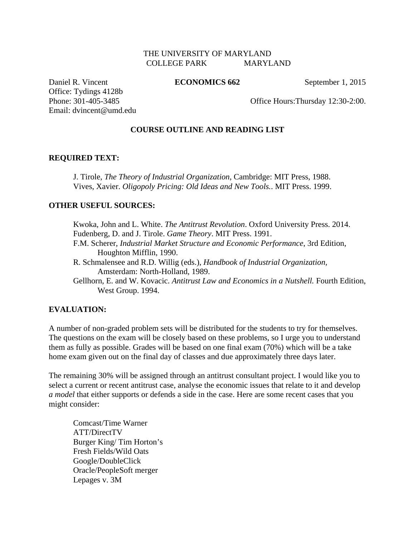### THE UNIVERSITY OF MARYLAND COLLEGE PARK MARYLAND

Daniel R. Vincent **ECONOMICS 662** September 1, 2015 Office: Tydings 4128b

Phone: 301-405-3485 Office Hours: Thursday 12:30-2:00.

### **COURSE OUTLINE AND READING LIST**

#### **REQUIRED TEXT:**

Email: dvincent@umd.edu

J. Tirole, *The Theory of Industrial Organization*, Cambridge: MIT Press, 1988. Vives, Xavier. *Oligopoly Pricing: Old Ideas and New Tools.*. MIT Press. 1999.

### **OTHER USEFUL SOURCES:**

Kwoka, John and L. White. *The Antitrust Revolution*. Oxford University Press. 2014. Fudenberg, D. and J. Tirole. *Game Theory*. MIT Press. 1991. F.M. Scherer, *Industrial Market Structure and Economic Performance*, 3rd Edition, Houghton Mifflin, 1990. R. Schmalensee and R.D. Willig (eds.), *Handbook of Industrial Organization,* Amsterdam: North-Holland, 1989.

Gellhorn, E. and W. Kovacic. *Antitrust Law and Economics in a Nutshell.* Fourth Edition, West Group. 1994.

#### **EVALUATION:**

A number of non-graded problem sets will be distributed for the students to try for themselves. The questions on the exam will be closely based on these problems, so I urge you to understand them as fully as possible. Grades will be based on one final exam (70%) which will be a take home exam given out on the final day of classes and due approximately three days later.

The remaining 30% will be assigned through an antitrust consultant project. I would like you to select a current or recent antitrust case, analyse the economic issues that relate to it and develop *a model* that either supports or defends a side in the case. Here are some recent cases that you might consider:

Comcast/Time Warner ATT/DirectTV Burger King/ Tim Horton's Fresh Fields/Wild Oats Google/DoubleClick Oracle/PeopleSoft merger Lepages v. 3M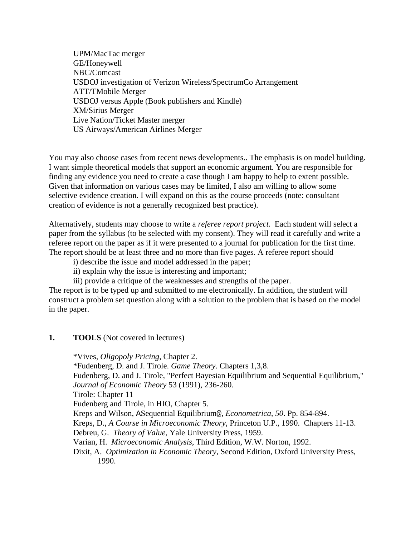UPM/MacTac merger GE/Honeywell NBC/Comcast USDOJ investigation of Verizon Wireless/SpectrumCo Arrangement ATT/TMobile Merger USDOJ versus Apple (Book publishers and Kindle) XM/Sirius Merger Live Nation/Ticket Master merger US Airways/American Airlines Merger

You may also choose cases from recent news developments.. The emphasis is on model building. I want simple theoretical models that support an economic argument. You are responsible for finding any evidence you need to create a case though I am happy to help to extent possible. Given that information on various cases may be limited, I also am willing to allow some selective evidence creation. I will expand on this as the course proceeds (note: consultant creation of evidence is not a generally recognized best practice).

Alternatively, students may choose to write a *referee report project*. Each student will select a paper from the syllabus (to be selected with my consent). They will read it carefully and write a referee report on the paper as if it were presented to a journal for publication for the first time. The report should be at least three and no more than five pages. A referee report should

i) describe the issue and model addressed in the paper;

ii) explain why the issue is interesting and important;

iii) provide a critique of the weaknesses and strengths of the paper.

The report is to be typed up and submitted to me electronically. In addition, the student will construct a problem set question along with a solution to the problem that is based on the model in the paper.

**1. TOOLS** (Not covered in lectures)

\*Vives, *Oligopoly Pricing,* Chapter 2. \*Fudenberg, D. and J. Tirole. *Game Theory*. Chapters 1,3,8. Fudenberg, D. and J. Tirole, "Perfect Bayesian Equilibrium and Sequential Equilibrium," *Journal of Economic Theory* 53 (1991), 236-260. Tirole: Chapter 11 Fudenberg and Tirole, in HIO, Chapter 5. Kreps and Wilson, ASequential Equilibrium@, *Econometrica, 50*. Pp. 854-894. Kreps, D., *A Course in Microeconomic Theory*, Princeton U.P., 1990. Chapters 11-13. Debreu, G. *Theory of Value*, Yale University Press, 1959. Varian, H. *Microeconomic Analysis*, Third Edition, W.W. Norton, 1992. Dixit, A. *Optimization in Economic Theory*, Second Edition, Oxford University Press, 1990.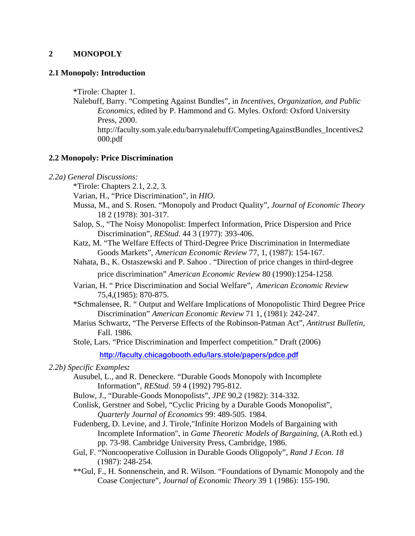### **2 MONOPOLY**

### **2.1 Monopoly: Introduction**

\*Tirole: Chapter 1.

Nalebuff, Barry. "Competing Against Bundles", in *Incentives, Organization, and Public Economics*, edited by P. Hammond and G. Myles. Oxford: Oxford University Press, 2000. http://faculty.som.yale.edu/barrynalebuff/CompetingAgainstBundles\_Incentives2 000.pdf

### **2.2 Monopoly: Price Discrimination**

- *2.2a) General Discussions:*
	- \*Tirole: Chapters 2.1, 2.2, 3.
	- Varian, H., "Price Discrimination", in *HIO*.
	- Mussa, M., and S. Rosen. "Monopoly and Product Quality", *Journal of Economic Theory* 18 2 (1978): 301-317.
	- Salop, S., "The Noisy Monopolist: Imperfect Information, Price Dispersion and Price Discrimination", *REStud*. 44 3 (1977): 393-406.
	- Katz, M. "The Welfare Effects of Third-Degree Price Discrimination in Intermediate Goods Markets", *American Economic Review* 77, 1, (1987): 154-167.
	- Nahata, B., K. Ostaszewski and P. Sahoo . "Direction of price changes in third-degree price discrimination" *American Economic Review* 80 (1990):1254-1258.
	- Varian, H. " Price Discrimination and Social Welfare", *American Economic Review* 75,4,(1985): 870-875.
	- \*Schmalensee, R. " Output and Welfare Implications of Monopolistic Third Degree Price Discrimination" *American Economic Review* 71 1, (1981): 242-247.
	- Marius Schwartz, "The Perverse Effects of the Robinson-Patman Act", *Antitrust Bulletin*, Fall. 1986.
	- Stole, Lars. "Price Discrimination and Imperfect competition." Draft (2006)

**http://faculty.chicagobooth.edu/lars.stole/papers/pdce.pdf**

### *2.2b) Specific Examples:*

- Ausubel, L., and R. Deneckere. "Durable Goods Monopoly with Incomplete Information", *REStud*. 59 4 (1992) 795-812.
- Bulow, J., "Durable-Goods Monopolists", *JPE* 90,2 (1982): 314-332.
- Conlisk, Gerstner and Sobel, "Cyclic Pricing by a Durable Goods Monopolist", *Quarterly Journal of Economics* 99: 489-505. 1984.
- Fudenberg, D. Levine, and J. Tirole,"Infinite Horizon Models of Bargaining with Incomplete Information", in *Game Theoretic Models of Bargaining*, (A.Roth ed.) pp. 73-98. Cambridge University Press, Cambridge, 1986.
- Gul, F. "Noncooperative Collusion in Durable Goods Oligopoly", *Rand J Econ. 18* (1987): 248-254*.*
- \*\*Gul, F., H. Sonnenschein, and R. Wilson. "Foundations of Dynamic Monopoly and the Coase Conjecture", *Journal of Economic Theory* 39 1 (1986): 155-190.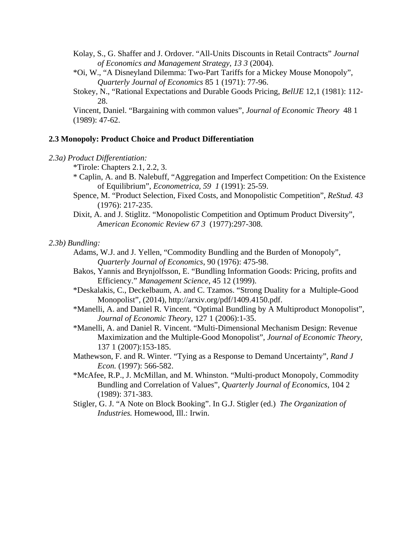Kolay, S., G. Shaffer and J. Ordover. "All-Units Discounts in Retail Contracts" *Journal of Economics and Management Strategy, 13 3* (2004).

- \*Oi, W., "A Disneyland Dilemma: Two-Part Tariffs for a Mickey Mouse Monopoly", *Quarterly Journal of Economics* 85 1 (1971): 77-96.
- Stokey, N., "Rational Expectations and Durable Goods Pricing, *BellJE* 12,1 (1981): 112- 28.

Vincent, Daniel. "Bargaining with common values", *Journal of Economic Theory* 48 1 (1989): 47-62.

### **2.3 Monopoly: Product Choice and Product Differentiation**

- \*Tirole: Chapters 2.1, 2.2, 3.
- \* Caplin, A. and B. Nalebuff, "Aggregation and Imperfect Competition: On the Existence of Equilibrium", *Econometrica, 59 1* (1991): 25-59.
- Spence, M. "Product Selection, Fixed Costs, and Monopolistic Competition", *ReStud. 43*  (1976): 217-235.
- Dixit, A. and J. Stiglitz. "Monopolistic Competition and Optimum Product Diversity", *American Economic Review 67 3* (1977):297-308.

#### *2.3b) Bundling:*

- Adams, W.J. and J. Yellen, "Commodity Bundling and the Burden of Monopoly", *Quarterly Journal of Economics*, 90 (1976): 475-98.
- Bakos, Yannis and Brynjolfsson, E. "Bundling Information Goods: Pricing, profits and Efficiency." *Management Science*, 45 12 (1999).
- \*Deskalakis, C., Deckelbaum, A. and C. Tzamos. "Strong Duality for a Multiple-Good Monopolist", (2014), http://arxiv.org/pdf/1409.4150.pdf.
- \*Manelli, A. and Daniel R. Vincent. "Optimal Bundling by A Multiproduct Monopolist", *Journal of Economic Theory,* 127 1 (2006):1-35.
- \*Manelli, A. and Daniel R. Vincent. "Multi-Dimensional Mechanism Design: Revenue Maximization and the Multiple-Good Monopolist", *Journal of Economic Theory,*  137 1 (2007):153-185.
- Mathewson, F. and R. Winter. "Tying as a Response to Demand Uncertainty", *Rand J Econ.* (1997): 566-582.
- \*McAfee, R.P., J. McMillan, and M. Whinston. "Multi-product Monopoly, Commodity Bundling and Correlation of Values", *Quarterly Journal of Economics*, 104 2 (1989): 371-383.
- Stigler, G. J. "A Note on Block Booking". In G.J. Stigler (ed.) *The Organization of Industries.* Homewood, Ill.: Irwin.

*<sup>2.3</sup>a) Product Differentiation:*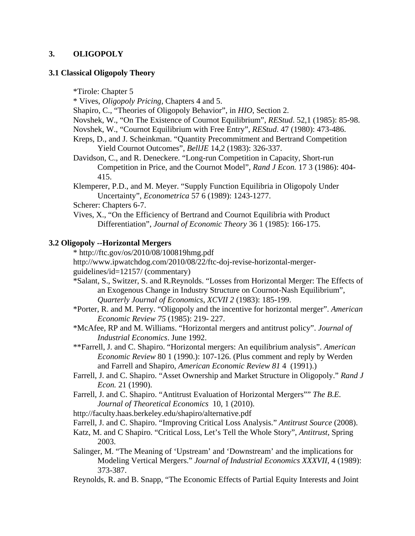## **3. OLIGOPOLY**

### **3.1 Classical Oligopoly Theory**

\*Tirole: Chapter 5

\* Vives, *Oligopoly Pricing,* Chapters 4 and 5.

Shapiro, C., "Theories of Oligopoly Behavior", in *HIO*, Section 2.

Novshek, W., "On The Existence of Cournot Equilibrium", *REStud*. 52,1 (1985): 85-98.

Novshek, W., "Cournot Equilibrium with Free Entry", *REStud*. 47 (1980): 473-486.

Kreps, D., and J. Scheinkman. "Quantity Precommitment and Bertrand Competition Yield Cournot Outcomes", *BellJE* 14,2 (1983): 326-337.

Davidson, C., and R. Deneckere. "Long-run Competition in Capacity, Short-run Competition in Price, and the Cournot Model", *Rand J Econ.* 17 3 (1986): 404- 415.

Klemperer, P.D., and M. Meyer. "Supply Function Equilibria in Oligopoly Under Uncertainty", *Econometrica* 57 6 (1989): 1243-1277.

Scherer: Chapters 6-7.

Vives, X., "On the Efficiency of Bertrand and Cournot Equilibria with Product Differentiation", *Journal of Economic Theory* 36 1 (1985): 166-175.

## **3.2 Oligopoly --Horizontal Mergers**

\* http://ftc.gov/os/2010/08/100819hmg.pdf

http://www.ipwatchdog.com/2010/08/22/ftc-doj-revise-horizontal-mergerguidelines/id=12157/ (commentary)

- \*Salant, S., Switzer, S. and R.Reynolds. "Losses from Horizontal Merger: The Effects of an Exogenous Change in Industry Structure on Cournot-Nash Equilibrium", *Quarterly Journal of Economics*, *XCVII 2* (1983): 185-199.
- \*Porter, R. and M. Perry. "Oligopoly and the incentive for horizontal merger". *American Economic Review 75* (1985): 219- 227.
- \*McAfee, RP and M. Williams. "Horizontal mergers and antitrust policy". *Journal of Industrial Economics*. June 1992.
- \*\*Farrell, J. and C. Shapiro. "Horizontal mergers: An equilibrium analysis". *American Economic Review* 80 1 (1990.): 107-126. (Plus comment and reply by Werden and Farrell and Shapiro, *American Economic Review 81* 4 (1991).)
- Farrell, J. and C. Shapiro. "Asset Ownership and Market Structure in Oligopoly." *Rand J Econ.* 21 (1990).
- Farrell, J. and C. Shapiro. "Antitrust Evaluation of Horizontal Mergers"" *The B.E. Journal of Theoretical Economics* 10, 1 (2010).
- http://faculty.haas.berkeley.edu/shapiro/alternative.pdf

Farrell, J. and C. Shapiro. "Improving Critical Loss Analysis." *Antitrust Source* (2008).

Katz, M. and C Shapiro. "Critical Loss, Let's Tell the Whole Story", *Antitrust,* Spring 2003.

- Salinger, M. "The Meaning of 'Upstream' and 'Downstream' and the implications for Modeling Vertical Mergers." *Journal of Industrial Economics XXXVII*, 4 (1989): 373-387.
- Reynolds, R. and B. Snapp, "The Economic Effects of Partial Equity Interests and Joint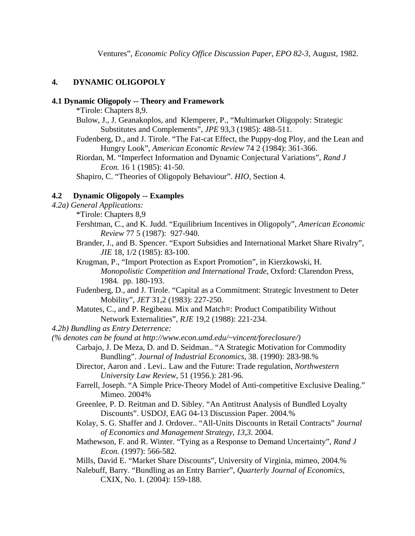# **4. DYNAMIC OLIGOPOLY**

### **4.1 Dynamic Oligopoly -- Theory and Framework**

\*Tirole: Chapters 8,9.

- Bulow, J., J. Geanakoplos, and Klemperer, P., "Multimarket Oligopoly: Strategic Substitutes and Complements", *JPE* 93,3 (1985): 488-511.
- Fudenberg, D., and J. Tirole. "The Fat-cat Effect, the Puppy-dog Ploy, and the Lean and Hungry Look", *American Economic Review* 74 2 (1984): 361-366.

Riordan, M. "Imperfect Information and Dynamic Conjectural Variations", *Rand J Econ.* 16 1 (1985): 41-50.

Shapiro, C. "Theories of Oligopoly Behaviour". *HIO,* Section 4.

## **4.2 Dynamic Oligopoly -- Examples**

- *4.2a) General Applications:*
	- \*Tirole: Chapters 8,9
	- Fershtman, C., and K. Judd. "Equilibrium Incentives in Oligopoly", *American Economic Review* 77 5 (1987): 927-940.
	- Brander, J., and B. Spencer. "Export Subsidies and International Market Share Rivalry", *JIE* 18, 1/2 (1985): 83-100.

Krugman, P., "Import Protection as Export Promotion", in Kierzkowski, H. *Monopolistic Competition and International Trade*, Oxford: Clarendon Press, 1984. pp. 180-193.

- Fudenberg, D., and J. Tirole. "Capital as a Commitment: Strategic Investment to Deter Mobility", *JET* 31,2 (1983): 227-250.
- Matutes, C., and P. Regibeau. Mix and Match=: Product Compatibility Without Network Externalities", *RJE* 19,2 (1988): 221-234.
- *4.2b) Bundling as Entry Deterrence:*

*(% denotes can be found at http://www.econ.umd.edu/~vincent/foreclosure/)* 

- Carbajo, J. De Meza, D. and D. Seidman.. "A Strategic Motivation for Commodity Bundling". *Journal of Industrial Economics*, 38. (1990): 283-98.%
- Director, Aaron and . Levi.. Law and the Future: Trade regulation, *Northwestern University Law Review*, 51 (1956.): 281-96.
- Farrell, Joseph. "A Simple Price-Theory Model of Anti-competitive Exclusive Dealing." Mimeo. 2004%
- Greenlee, P. D. Reitman and D. Sibley. "An Antitrust Analysis of Bundled Loyalty Discounts". USDOJ, EAG 04-13 Discussion Paper. 2004.%

Kolay, S. G. Shaffer and J. Ordover.. "All-Units Discounts in Retail Contracts" *Journal of Economics and Management Strategy, 13,3.* 2004.

- Mathewson, F. and R. Winter. "Tying as a Response to Demand Uncertainty", *Rand J Econ.* (1997): 566-582.
- Mills, David E. "Market Share Discounts", University of Virginia, mimeo, 2004.%
- Nalebuff, Barry. "Bundling as an Entry Barrier", *Quarterly Journal of Economics,*  CXIX, No. 1. (2004): 159-188.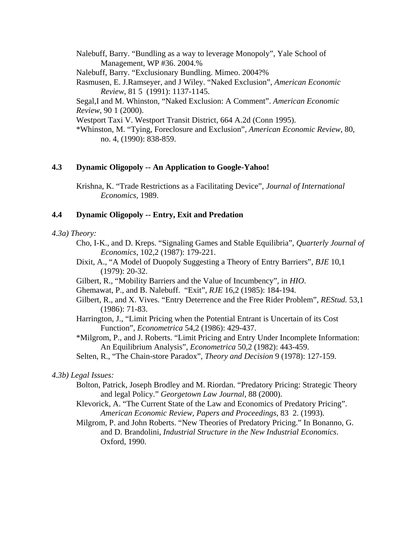Nalebuff, Barry. "Bundling as a way to leverage Monopoly", Yale School of Management, WP #36. 2004.% Nalebuff, Barry. "Exclusionary Bundling. Mimeo. 2004?% Rasmusen, E. J.Ramseyer, and J Wiley. "Naked Exclusion", *American Economic Review*, 81 5 (1991): 1137-1145. Segal,I and M. Whinston, "Naked Exclusion: A Comment". *American Economic Review*, 90 1 (2000). Westport Taxi V. Westport Transit District, 664 A.2d (Conn 1995). \*Whinston, M. "Tying, Foreclosure and Exclusion", *American Economic Review*, 80, no. 4, (1990): 838-859.

## **4.3 Dynamic Oligopoly -- An Application to Google-Yahoo!**

Krishna, K. "Trade Restrictions as a Facilitating Device", *Journal of International Economics,* 1989.

### **4.4 Dynamic Oligopoly -- Entry, Exit and Predation**

#### *4.3a) Theory:*

- Cho, I-K., and D. Kreps. "Signaling Games and Stable Equilibria", *Quarterly Journal of Economics*, 102,2 (1987): 179-221.
- Dixit, A., "A Model of Duopoly Suggesting a Theory of Entry Barriers", *BJE* 10,1 (1979): 20-32.
- Gilbert, R., "Mobility Barriers and the Value of Incumbency", in *HIO*.
- Ghemawat, P., and B. Nalebuff. "Exit", *RJE* 16,2 (1985): 184-194.
- Gilbert, R., and X. Vives. "Entry Deterrence and the Free Rider Problem", *REStud.* 53,1 (1986): 71-83.
- Harrington, J., "Limit Pricing when the Potential Entrant is Uncertain of its Cost Function", *Econometrica* 54,2 (1986): 429-437.
- \*Milgrom, P., and J. Roberts. "Limit Pricing and Entry Under Incomplete Information: An Equilibrium Analysis", *Econometrica* 50,2 (1982): 443-459.
- Selten, R., "The Chain-store Paradox", *Theory and Decision* 9 (1978): 127-159.

#### *4.3b) Legal Issues:*

- Bolton, Patrick, Joseph Brodley and M. Riordan. "Predatory Pricing: Strategic Theory and legal Policy." *Georgetown Law Journal*, 88 (2000).
- Klevorick, A. "The Current State of the Law and Economics of Predatory Pricing". *American Economic Review, Papers and Proceedings*, 83 2. (1993).
- Milgrom, P. and John Roberts. "New Theories of Predatory Pricing." In Bonanno, G. and D. Brandolini, *Industrial Structure in the New Industrial Economics*. Oxford, 1990.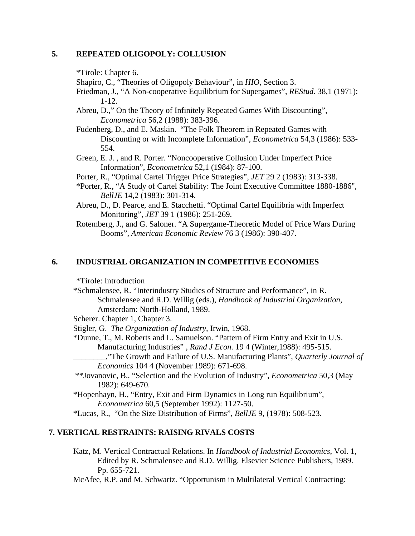## **5. REPEATED OLIGOPOLY: COLLUSION**

\*Tirole: Chapter 6.

Shapiro, C., "Theories of Oligopoly Behaviour", in *HIO,* Section 3.

Friedman, J., "A Non-cooperative Equilibrium for Supergames", *REStud.* 38,1 (1971): 1-12.

Abreu, D.," On the Theory of Infinitely Repeated Games With Discounting", *Econometrica* 56,2 (1988): 383-396.

- Fudenberg, D., and E. Maskin. "The Folk Theorem in Repeated Games with Discounting or with Incomplete Information", *Econometrica* 54,3 (1986): 533- 554.
- Green, E. J. , and R. Porter. "Noncooperative Collusion Under Imperfect Price Information", *Econometrica* 52,1 (1984): 87-100.

Porter, R., "Optimal Cartel Trigger Price Strategies", *JET* 29 2 (1983): 313-338.

- \*Porter, R., "A Study of Cartel Stability: The Joint Executive Committee 1880-1886", *BellJE* 14,2 (1983): 301-314.
- Abreu, D., D. Pearce, and E. Stacchetti. "Optimal Cartel Equilibria with Imperfect Monitoring", *JET* 39 1 (1986): 251-269.
- Rotemberg, J., and G. Saloner. "A Supergame-Theoretic Model of Price Wars During Booms", *American Economic Review* 76 3 (1986): 390-407.

### **6. INDUSTRIAL ORGANIZATION IN COMPETITIVE ECONOMIES**

\*Tirole: Introduction

\*Schmalensee, R. "Interindustry Studies of Structure and Performance", in R. Schmalensee and R.D. Willig (eds.), *Handbook of Industrial Organization,* Amsterdam: North-Holland, 1989.

Scherer. Chapter 1, Chapter 3.

- Stigler, G. *The Organization of Industry,* Irwin, 1968.
- \*Dunne, T., M. Roberts and L. Samuelson. "Pattern of Firm Entry and Exit in U.S. Manufacturing Industries" , *Rand J Econ.* 19 4 (Winter,1988): 495-515.

\_\_\_\_\_\_\_\_,"The Growth and Failure of U.S. Manufacturing Plants", *Quarterly Journal of Economics* 104 4 (November 1989): 671-698.

 \*\*Jovanovic, B., "Selection and the Evolution of Industry", *Econometrica* 50,3 (May 1982): 649-670.

\*Hopenhayn, H., "Entry, Exit and Firm Dynamics in Long run Equilibrium", *Econometrica* 60,5 (September 1992): 1127-50.

\*Lucas, R., "On the Size Distribution of Firms", *BellJE* 9, (1978): 508-523.

### **7. VERTICAL RESTRAINTS: RAISING RIVALS COSTS**

Katz, M. Vertical Contractual Relations. In *Handbook of Industrial Economics*, Vol. 1, Edited by R. Schmalensee and R.D. Willig. Elsevier Science Publishers, 1989. Pp. 655-721.

McAfee, R.P. and M. Schwartz. "Opportunism in Multilateral Vertical Contracting: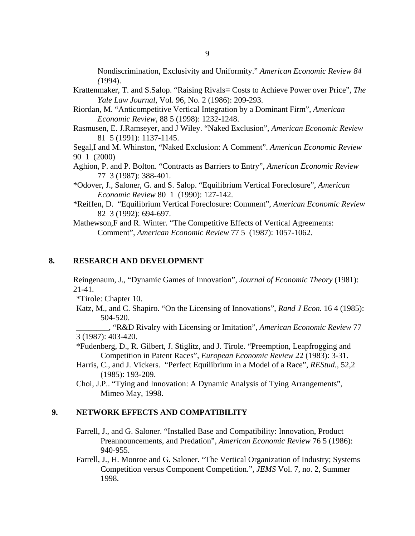Nondiscrimination, Exclusivity and Uniformity." *American Economic Review 84 (*1994).

- Krattenmaker, T. and S.Salop. "Raising Rivals= Costs to Achieve Power over Price", *The Yale Law Journal*, Vol. 96, No. 2 (1986): 209-293.
- Riordan, M. "Anticompetitive Vertical Integration by a Dominant Firm", *American Economic Review*, 88 5 (1998): 1232-1248.
- Rasmusen, E. J.Ramseyer, and J Wiley. "Naked Exclusion", *American Economic Review* 81 5 (1991): 1137-1145.

Segal,I and M. Whinston, "Naked Exclusion: A Comment". *American Economic Review* 90 1 (2000)

- Aghion, P. and P. Bolton. "Contracts as Barriers to Entry", *American Economic Review* 77 3 (1987): 388-401.
- \*Odover, J., Saloner, G. and S. Salop. "Equilibrium Vertical Foreclosure", *American Economic Review* 80 1 (1990): 127-142.
- \*Reiffen, D. "Equilibrium Vertical Foreclosure: Comment", *American Economic Review*  82 3 (1992): 694-697.

Mathewson,F and R. Winter. "The Competitive Effects of Vertical Agreements: Comment", *American Economic Review* 77 5 (1987): 1057-1062.

## **8. RESEARCH AND DEVELOPMENT**

Reingenaum, J., "Dynamic Games of Innovation", *Journal of Economic Theory* (1981): 21-41*.*

\*Tirole: Chapter 10.

Katz, M., and C. Shapiro. "On the Licensing of Innovations", *Rand J Econ.* 16 4 (1985): 504-520.

\_\_\_\_\_\_\_\_, "R&D Rivalry with Licensing or Imitation", *American Economic Review* 77 3 (1987): 403-420.

\*Fudenberg, D., R. Gilbert, J. Stiglitz, and J. Tirole. "Preemption, Leapfrogging and Competition in Patent Races", *European Economic Review* 22 (1983): 3-31.

- Harris, C., and J. Vickers. "Perfect Equilibrium in a Model of a Race", *REStud.,* 52,2 (1985): 193-209.
- Choi, J.P.. "Tying and Innovation: A Dynamic Analysis of Tying Arrangements", Mimeo May, 1998.

#### **9. NETWORK EFFECTS AND COMPATIBILITY**

- Farrell, J., and G. Saloner. "Installed Base and Compatibility: Innovation, Product Preannouncements, and Predation", *American Economic Review* 76 5 (1986): 940-955.
- Farrell, J., H. Monroe and G. Saloner. "The Vertical Organization of Industry; Systems Competition versus Component Competition.", *JEMS* Vol. 7, no. 2, Summer 1998.